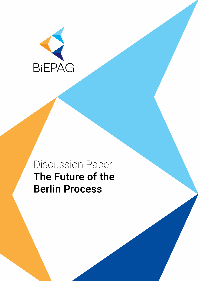

## Discussion Paper The Future of the **Berlin Process**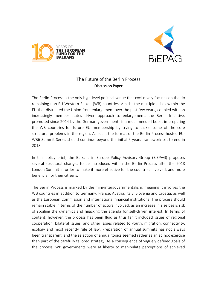



## The Future of the Berlin Process Discussion Paper

The Berlin Process is the only high-level political venue that exclusively focuses on the six remaining non-EU Western Balkan (WB) countries. Amidst the multiple crises within the EU that distracted the Union from enlargement over the past few years, coupled with an increasingly member states driven approach to enlargement, the Berlin Initiative, promoted since 2014 by the German government, is a much-needed boost in preparing the WB countries for future EU membership by trying to tackle some of the core structural problems in the region. As such, the format of the Berlin Process-hosted EU-WB6 Summit Series should continue beyond the initial 5 years framework set to end in 2018.

In this policy brief, the Balkans in Europe Policy Advisory Group (BiEPAG) proposes several structural changes to be introduced within the Berlin Process after the 2018 London Summit in order to make it more effective for the countries involved, and more beneficial for their citizens.

The Berlin Process is marked by the mini-intergovernmentalism, meaning it involves the WB countries in addition to Germany, France, Austria, Italy, Slovenia and Croatia, as well as the European Commission and international financial institutions. The process should remain stable in terms of the number of actors involved, as an increase in size bears risk of spoiling the dynamics and hijacking the agenda for self-driven interest. In terms of content, however, the process has been fluid as thus far it included issues of regional cooperation, bilateral issues, and other issues related to youth, migration, connectivity, ecology and most recently rule of law. Preparation of annual summits has not always been transparent, and the selection of annual topics seemed rather as an ad hoc exercise than part of the carefully tailored strategy. As a consequence of vaguely defined goals of the process, WB governments were at liberty to manipulate perceptions of achieved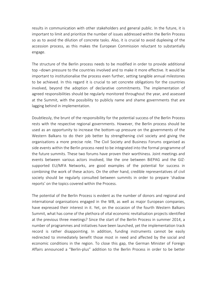results in communication with other stakeholders and general public. In the future, it is important to limit and prioritize the number of issues addressed within the Berlin Process so as to avoid the dilution of concrete tasks. Also, it is crucial to avoid duplexing of the accession process, as this makes the European Commission reluctant to substantially engage.

The structure of the Berlin process needs to be modified in order to provide additional top –down pressure to the countries involved and to make it more effective. It would be important to institutionalise the process even further, setting tangible annual milestones to be achieved. In this regard it is crucial to set concrete obligations for the countries involved, beyond the adoption of declarative commitments. The implementation of agreed responsibilities should be regularly monitored throughout the year, and assessed at the Summit, with the possibility to publicly name and shame governments that are lagging behind in implementation.

Doubtlessly, the brunt of the responsibility for the potential success of the Berlin Process rests with the respective regional governments. However, the Berlin process should be used as an opportunity to increase the bottom-up pressure on the governments of the Western Balkans to do their job better by strengthening civil society and giving the organisations a more precise role. The Civil Society and Business Forums organised as side events within the Berlin process need to be integrated into the formal programme of the future summits. These two forums have proven their worthiness. Joint meetings and events between various actors involved, like the one between BiEPAG and the GIZsupported EU/MFA Networks, are good examples of the potential for success in combining the work of these actors. On the other hand, credible representatives of civil society should be regularly consulted between summits in order to prepare 'shadow reports' on the topics covered within the Process.

The potential of the Berlin Process is evident as the number of donors and regional and international organisations engaged in the WB, as well as major European companies, have expressed their interest in it. Yet, on the occasion of the fourth Western Balkans Summit, what has come of the plethora of vital economic revitalisation projects identified at the previous three meetings? Since the start of the Berlin Process in summer 2014, a number of programmes and initiatives have been launched, yet the implementation track record is rather disappointing. In addition, funding instruments cannot be easily redirected to immediately benefit those most in need and affected by the social and economic conditions in the region. To close this gap, the German Minister of Foreign Affairs announced a "Berlin-plus" addition to the Berlin Process in order to be better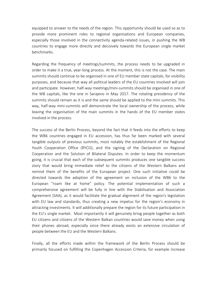equipped to answer to the needs of the region. This opportunity should be used so as to provide more prominent roles to regional organisations and European companies, especially those involved in the connectivity agenda-related issues, in pushing the WB countries to engage more directly and decisively towards the European single market benchmarks.

Regarding the frequency of meetings/summits, the process needs to be upgraded in order to make it a true, year-long process. At the moment, this is not the case. The main summits should continue to be organised in one of EU member state capitals, for visibility purposes, and because that way all political leaders of the EU countries involved will join and participate. However, half-way meetings/mini-summits should be organised in one of the WB capitals, like the one in Sarajevo in May 2017. The rotating presidency of the summits should remain as it is and the same should be applied to the mini summits. This way, half-way mini-summits will demonstrate the local ownership of the process, while leaving the organisation of the main summits in the hands of the EU member states involved in the process.

The success of the Berlin Process, beyond the fact that it feeds into the efforts to keep the WB6 countries engaged in EU accession, has thus far been marked with several tangible outputs of previous summits, most notably the establishment of the Regional Youth Cooperation Office (RYCO), and the signing of the Declaration on Regional Cooperation and the Solution of Bilateral Disputes. In order to keep the momentum going, it is crucial that each of the subsequent summits produces one tangible success story that would bring immediate relief to the citizens of the Western Balkans and remind them of the benefits of the European project. One such initiative could be directed towards the adoption of the agreement on inclusion of the WB6 to the European "roam like at home" policy. The potential implementation of such a comprehensive agreement will be fully in line with the Stabilisation and Association Agreement (SAA), as it would facilitate the gradual alignment of the region's legislation with EU law and standards, thus creating a new impetus for the region's economy in attracting investments. It will additionally prepare the region for its future participation in the EU's single market. Most importantly it will genuinely bring people together as both EU citizens and citizens of the Western Balkan countries would save money when using their phones abroad, especially since there already exists an extensive circulation of people between the EU and the Western Balkans.

Finally, all the efforts made within the framework of the Berlin Process should be primarily focused on fulfilling the Copenhagen Accession Criteria, for example increase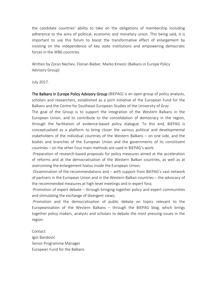the candidate countries' ability to take on the obligations of membership including adherence to the aims of political, economic and monetary union. This being said, it is important to use this forum to boost the transformative effect of enlargement by insisting on the independence of key state institutions and empowering democratic forces in the WB6 countries.

Written by Zoran Nechev, Florian Bieber, Marko Kmezic (Balkans in Europe Policy Advisory Group)

July 2017.

The Balkans in Europe Policy Advisory Group (BiEPAG) is an open group of policy analysts, scholars and researchers, established as a joint initiative of the European Fund for the Balkans and the Centre for Southeast European Studies of the University of Graz.

The goal of the Group is to support the integration of the Western Balkans in the European Union, and to contribute to the consolidation of democracy in the region, through the facilitation of evidence-based policy dialogue. To this end, BiEPAG is conceptualised as a platform to bring closer the various political and developmental stakeholders of the individual countries of the Western Balkans – on one side, and the bodies and branches of the European Union and the governments of its constituent countries – on the other.Four main methods are used in BiEPAG's work:

-Preparation of research-based proposals for policy measures aimed at the acceleration of reforms and at the democratisation of the Western Balkan countries, as well as at overcoming the enlargement hiatus inside the European Union;

-Dissemination of the recommendations and – with support from BiEPAG's vast network of partners in the European Union and in the Western Balkan countries – the advocacy of the recommended measures at high-level meetings and in expert fora;

-Promotion of expert debate – through bringing together policy and expert communities and stimulating the exchange of divergent views;

-Promotion and the democratisation of public debate on topics relevant to the Europeanisation of the Western Balkans – through the BiEPAG blog, which brings together policy makers, analysts and scholars to debate the most pressing issues in the region.

Contact: Igor Bandović Senior Programme Manager European Fund for the Balkans